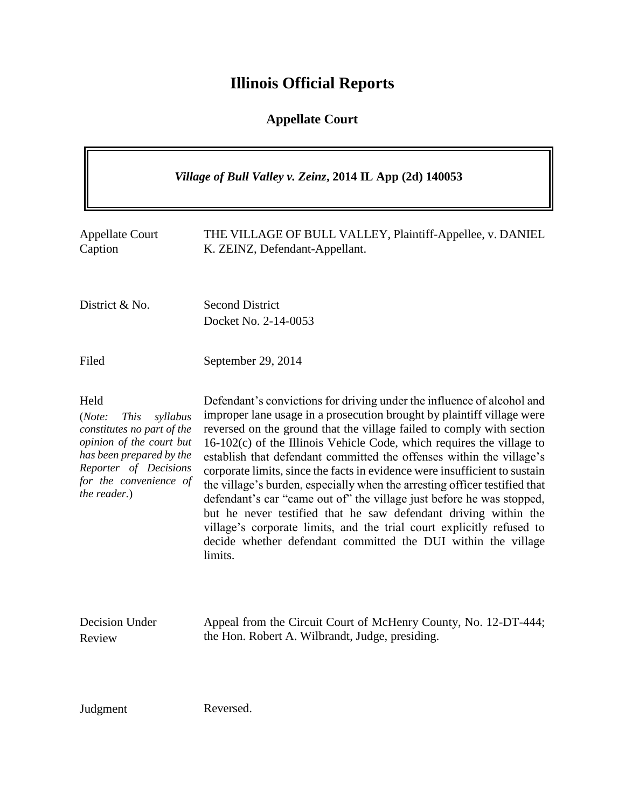## **Illinois Official Reports**

## **Appellate Court**

| Village of Bull Valley v. Zeinz, 2014 IL App (2d) 140053                                                                                                                                           |                                                                                                                                                                                                                                                                                                                                                                                                                                                                                                                                                                                                                                                                                                                                                                                                                                           |
|----------------------------------------------------------------------------------------------------------------------------------------------------------------------------------------------------|-------------------------------------------------------------------------------------------------------------------------------------------------------------------------------------------------------------------------------------------------------------------------------------------------------------------------------------------------------------------------------------------------------------------------------------------------------------------------------------------------------------------------------------------------------------------------------------------------------------------------------------------------------------------------------------------------------------------------------------------------------------------------------------------------------------------------------------------|
| <b>Appellate Court</b><br>Caption                                                                                                                                                                  | THE VILLAGE OF BULL VALLEY, Plaintiff-Appellee, v. DANIEL<br>K. ZEINZ, Defendant-Appellant.                                                                                                                                                                                                                                                                                                                                                                                                                                                                                                                                                                                                                                                                                                                                               |
| District & No.                                                                                                                                                                                     | <b>Second District</b><br>Docket No. 2-14-0053                                                                                                                                                                                                                                                                                                                                                                                                                                                                                                                                                                                                                                                                                                                                                                                            |
| Filed                                                                                                                                                                                              | September 29, 2014                                                                                                                                                                                                                                                                                                                                                                                                                                                                                                                                                                                                                                                                                                                                                                                                                        |
| Held<br>(Note:<br><b>This</b><br>syllabus<br>constitutes no part of the<br>opinion of the court but<br>has been prepared by the<br>Reporter of Decisions<br>for the convenience of<br>the reader.) | Defendant's convictions for driving under the influence of alcohol and<br>improper lane usage in a prosecution brought by plaintiff village were<br>reversed on the ground that the village failed to comply with section<br>$16-102(c)$ of the Illinois Vehicle Code, which requires the village to<br>establish that defendant committed the offenses within the village's<br>corporate limits, since the facts in evidence were insufficient to sustain<br>the village's burden, especially when the arresting officer testified that<br>defendant's car "came out of" the village just before he was stopped,<br>but he never testified that he saw defendant driving within the<br>village's corporate limits, and the trial court explicitly refused to<br>decide whether defendant committed the DUI within the village<br>limits. |
| Decision Under<br>Review                                                                                                                                                                           | Appeal from the Circuit Court of McHenry County, No. 12-DT-444;<br>the Hon. Robert A. Wilbrandt, Judge, presiding.                                                                                                                                                                                                                                                                                                                                                                                                                                                                                                                                                                                                                                                                                                                        |
| Judgment                                                                                                                                                                                           | Reversed.                                                                                                                                                                                                                                                                                                                                                                                                                                                                                                                                                                                                                                                                                                                                                                                                                                 |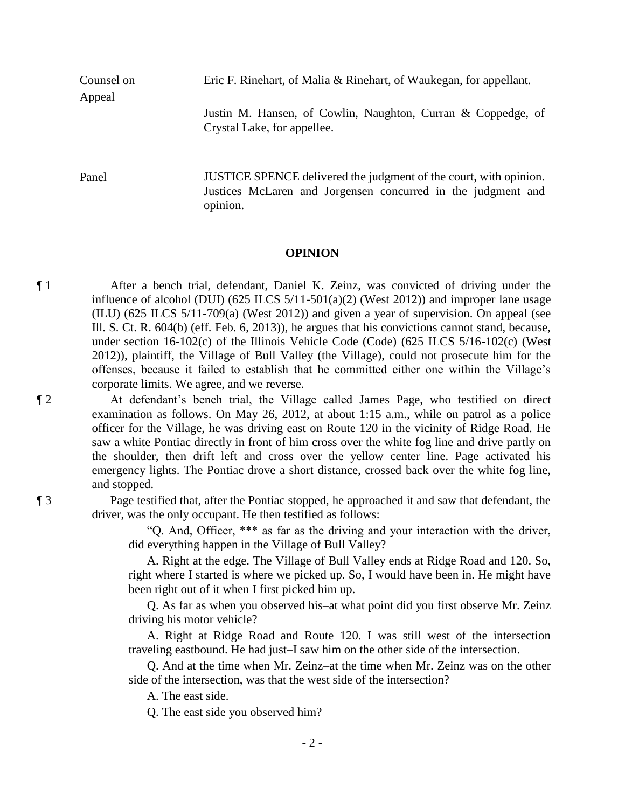Eric F. Rinehart, of Malia & Rinehart, of Waukegan, for appellant.

Counsel on Appeal

> Justin M. Hansen, of Cowlin, Naughton, Curran & Coppedge, of Crystal Lake, for appellee.

Panel JUSTICE SPENCE delivered the judgment of the court, with opinion. Justices McLaren and Jorgensen concurred in the judgment and opinion.

## **OPINION**

¶ 1 After a bench trial, defendant, Daniel K. Zeinz, was convicted of driving under the influence of alcohol (DUI) (625 ILCS  $5/11-501(a)(2)$  (West 2012)) and improper lane usage (ILU) (625 ILCS 5/11-709(a) (West 2012)) and given a year of supervision. On appeal (see Ill. S. Ct. R. 604(b) (eff. Feb. 6, 2013)), he argues that his convictions cannot stand, because, under section 16-102(c) of the Illinois Vehicle Code (Code) (625 ILCS 5/16-102(c) (West 2012)), plaintiff, the Village of Bull Valley (the Village), could not prosecute him for the offenses, because it failed to establish that he committed either one within the Village's corporate limits. We agree, and we reverse.

¶ 2 At defendant's bench trial, the Village called James Page, who testified on direct examination as follows. On May 26, 2012, at about 1:15 a.m., while on patrol as a police officer for the Village, he was driving east on Route 120 in the vicinity of Ridge Road. He saw a white Pontiac directly in front of him cross over the white fog line and drive partly on the shoulder, then drift left and cross over the yellow center line. Page activated his emergency lights. The Pontiac drove a short distance, crossed back over the white fog line, and stopped.

¶ 3 Page testified that, after the Pontiac stopped, he approached it and saw that defendant, the driver, was the only occupant. He then testified as follows:

> "Q. And, Officer, \*\*\* as far as the driving and your interaction with the driver, did everything happen in the Village of Bull Valley?

> A. Right at the edge. The Village of Bull Valley ends at Ridge Road and 120. So, right where I started is where we picked up. So, I would have been in. He might have been right out of it when I first picked him up.

> Q. As far as when you observed his–at what point did you first observe Mr. Zeinz driving his motor vehicle?

> A. Right at Ridge Road and Route 120. I was still west of the intersection traveling eastbound. He had just–I saw him on the other side of the intersection.

> Q. And at the time when Mr. Zeinz–at the time when Mr. Zeinz was on the other side of the intersection, was that the west side of the intersection?

A. The east side.

Q. The east side you observed him?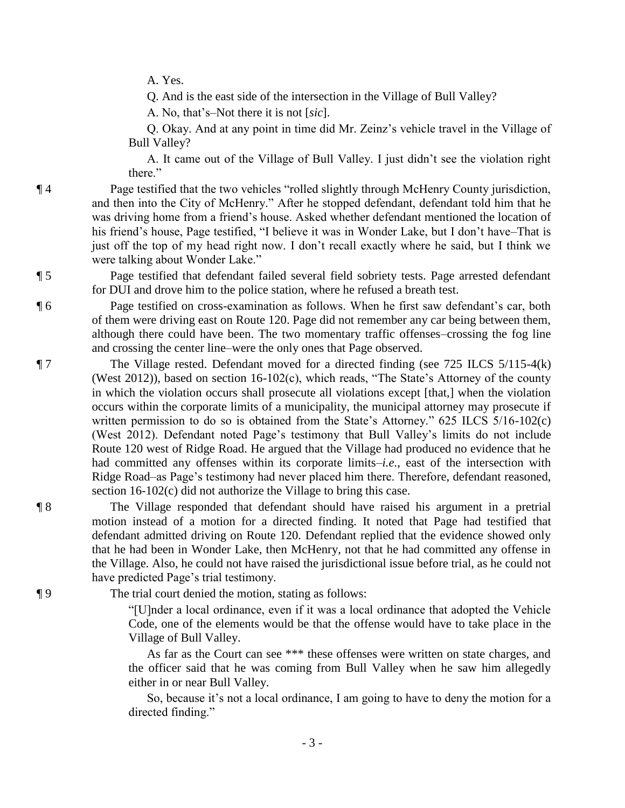Q. And is the east side of the intersection in the Village of Bull Valley?

A. No, that's–Not there it is not [*sic*].

Q. Okay. And at any point in time did Mr. Zeinz's vehicle travel in the Village of Bull Valley?

A. It came out of the Village of Bull Valley. I just didn't see the violation right there."

¶ 4 Page testified that the two vehicles "rolled slightly through McHenry County jurisdiction, and then into the City of McHenry." After he stopped defendant, defendant told him that he was driving home from a friend's house. Asked whether defendant mentioned the location of his friend's house, Page testified, "I believe it was in Wonder Lake, but I don't have–That is just off the top of my head right now. I don't recall exactly where he said, but I think we were talking about Wonder Lake."

¶ 5 Page testified that defendant failed several field sobriety tests. Page arrested defendant for DUI and drove him to the police station, where he refused a breath test.

¶ 6 Page testified on cross-examination as follows. When he first saw defendant's car, both of them were driving east on Route 120. Page did not remember any car being between them, although there could have been. The two momentary traffic offenses–crossing the fog line and crossing the center line–were the only ones that Page observed.

¶ 7 The Village rested. Defendant moved for a directed finding (see 725 ILCS 5/115-4(k) (West 2012)), based on section 16-102(c), which reads, "The State's Attorney of the county in which the violation occurs shall prosecute all violations except [that,] when the violation occurs within the corporate limits of a municipality, the municipal attorney may prosecute if written permission to do so is obtained from the State's Attorney." 625 ILCS 5/16-102(c) (West 2012). Defendant noted Page's testimony that Bull Valley's limits do not include Route 120 west of Ridge Road. He argued that the Village had produced no evidence that he had committed any offenses within its corporate limits–*i.e.*, east of the intersection with Ridge Road–as Page's testimony had never placed him there. Therefore, defendant reasoned, section 16-102(c) did not authorize the Village to bring this case.

¶ 8 The Village responded that defendant should have raised his argument in a pretrial motion instead of a motion for a directed finding. It noted that Page had testified that defendant admitted driving on Route 120. Defendant replied that the evidence showed only that he had been in Wonder Lake, then McHenry, not that he had committed any offense in the Village. Also, he could not have raised the jurisdictional issue before trial, as he could not have predicted Page's trial testimony.

¶ 9 The trial court denied the motion, stating as follows:

"[U]nder a local ordinance, even if it was a local ordinance that adopted the Vehicle Code, one of the elements would be that the offense would have to take place in the Village of Bull Valley.

As far as the Court can see \*\*\* these offenses were written on state charges, and the officer said that he was coming from Bull Valley when he saw him allegedly either in or near Bull Valley.

So, because it's not a local ordinance, I am going to have to deny the motion for a directed finding."

A. Yes.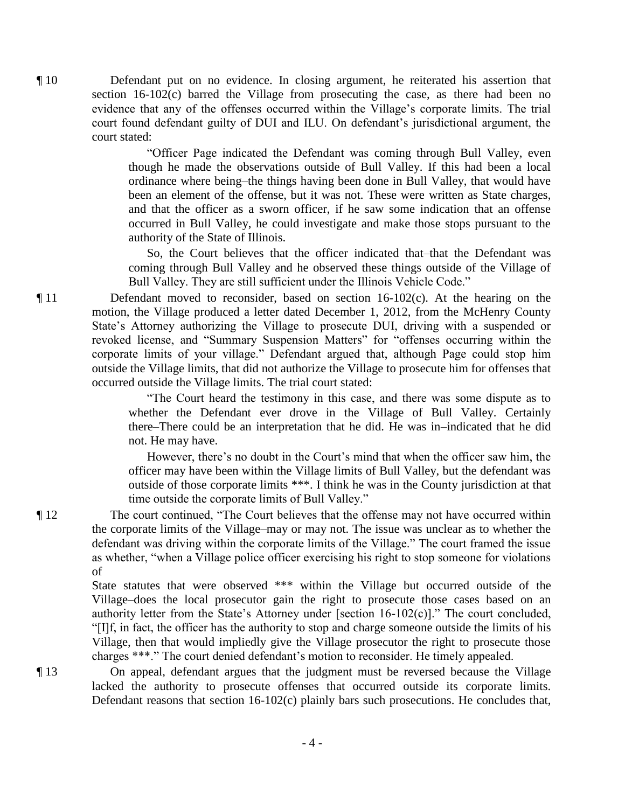¶ 10 Defendant put on no evidence. In closing argument, he reiterated his assertion that section 16-102(c) barred the Village from prosecuting the case, as there had been no evidence that any of the offenses occurred within the Village's corporate limits. The trial court found defendant guilty of DUI and ILU. On defendant's jurisdictional argument, the court stated:

> "Officer Page indicated the Defendant was coming through Bull Valley, even though he made the observations outside of Bull Valley. If this had been a local ordinance where being–the things having been done in Bull Valley, that would have been an element of the offense, but it was not. These were written as State charges, and that the officer as a sworn officer, if he saw some indication that an offense occurred in Bull Valley, he could investigate and make those stops pursuant to the authority of the State of Illinois.

> So, the Court believes that the officer indicated that–that the Defendant was coming through Bull Valley and he observed these things outside of the Village of Bull Valley. They are still sufficient under the Illinois Vehicle Code."

¶ 11 Defendant moved to reconsider, based on section 16-102(c). At the hearing on the motion, the Village produced a letter dated December 1, 2012, from the McHenry County State's Attorney authorizing the Village to prosecute DUI, driving with a suspended or revoked license, and "Summary Suspension Matters" for "offenses occurring within the corporate limits of your village." Defendant argued that, although Page could stop him outside the Village limits, that did not authorize the Village to prosecute him for offenses that occurred outside the Village limits. The trial court stated:

> "The Court heard the testimony in this case, and there was some dispute as to whether the Defendant ever drove in the Village of Bull Valley. Certainly there–There could be an interpretation that he did. He was in–indicated that he did not. He may have.

> However, there's no doubt in the Court's mind that when the officer saw him, the officer may have been within the Village limits of Bull Valley, but the defendant was outside of those corporate limits \*\*\*. I think he was in the County jurisdiction at that time outside the corporate limits of Bull Valley."

¶ 12 The court continued, "The Court believes that the offense may not have occurred within the corporate limits of the Village–may or may not. The issue was unclear as to whether the defendant was driving within the corporate limits of the Village." The court framed the issue as whether, "when a Village police officer exercising his right to stop someone for violations of

> State statutes that were observed \*\*\* within the Village but occurred outside of the Village–does the local prosecutor gain the right to prosecute those cases based on an authority letter from the State's Attorney under [section 16-102(c)]." The court concluded, "[I]f, in fact, the officer has the authority to stop and charge someone outside the limits of his Village, then that would impliedly give the Village prosecutor the right to prosecute those charges \*\*\*." The court denied defendant's motion to reconsider. He timely appealed.

¶ 13 On appeal, defendant argues that the judgment must be reversed because the Village lacked the authority to prosecute offenses that occurred outside its corporate limits. Defendant reasons that section 16-102(c) plainly bars such prosecutions. He concludes that,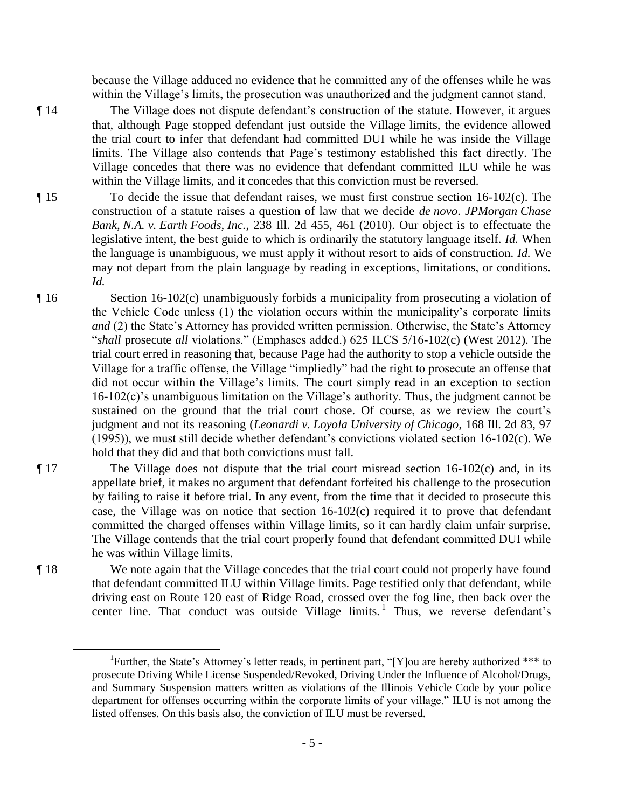because the Village adduced no evidence that he committed any of the offenses while he was within the Village's limits, the prosecution was unauthorized and the judgment cannot stand.

- ¶ 14 The Village does not dispute defendant's construction of the statute. However, it argues that, although Page stopped defendant just outside the Village limits, the evidence allowed the trial court to infer that defendant had committed DUI while he was inside the Village limits. The Village also contends that Page's testimony established this fact directly. The Village concedes that there was no evidence that defendant committed ILU while he was within the Village limits, and it concedes that this conviction must be reversed.
- ¶ 15 To decide the issue that defendant raises, we must first construe section 16-102(c). The construction of a statute raises a question of law that we decide *de novo*. *JPMorgan Chase Bank, N.A. v. Earth Foods, Inc.*, 238 Ill. 2d 455, 461 (2010). Our object is to effectuate the legislative intent, the best guide to which is ordinarily the statutory language itself. *Id.* When the language is unambiguous, we must apply it without resort to aids of construction. *Id.* We may not depart from the plain language by reading in exceptions, limitations, or conditions. *Id.*
- ¶ 16 Section 16-102(c) unambiguously forbids a municipality from prosecuting a violation of the Vehicle Code unless (1) the violation occurs within the municipality's corporate limits *and* (2) the State's Attorney has provided written permission. Otherwise, the State's Attorney "*shall* prosecute *all* violations." (Emphases added.) 625 ILCS 5/16-102(c) (West 2012). The trial court erred in reasoning that, because Page had the authority to stop a vehicle outside the Village for a traffic offense, the Village "impliedly" had the right to prosecute an offense that did not occur within the Village's limits. The court simply read in an exception to section 16-102(c)'s unambiguous limitation on the Village's authority. Thus, the judgment cannot be sustained on the ground that the trial court chose. Of course, as we review the court's judgment and not its reasoning (*Leonardi v. Loyola University of Chicago*, 168 Ill. 2d 83, 97 (1995)), we must still decide whether defendant's convictions violated section 16-102(c). We hold that they did and that both convictions must fall.
- ¶ 17 The Village does not dispute that the trial court misread section 16-102(c) and, in its appellate brief, it makes no argument that defendant forfeited his challenge to the prosecution by failing to raise it before trial. In any event, from the time that it decided to prosecute this case, the Village was on notice that section 16-102(c) required it to prove that defendant committed the charged offenses within Village limits, so it can hardly claim unfair surprise. The Village contends that the trial court properly found that defendant committed DUI while he was within Village limits.
- 

 $\overline{a}$ 

¶ 18 We note again that the Village concedes that the trial court could not properly have found that defendant committed ILU within Village limits. Page testified only that defendant, while driving east on Route 120 east of Ridge Road, crossed over the fog line, then back over the center line. That conduct was outside Village limits.<sup>1</sup> Thus, we reverse defendant's

<sup>&</sup>lt;sup>1</sup>Further, the State's Attorney's letter reads, in pertinent part, "[Y] ou are hereby authorized \*\*\* to prosecute Driving While License Suspended/Revoked, Driving Under the Influence of Alcohol/Drugs, and Summary Suspension matters written as violations of the Illinois Vehicle Code by your police department for offenses occurring within the corporate limits of your village." ILU is not among the listed offenses. On this basis also, the conviction of ILU must be reversed.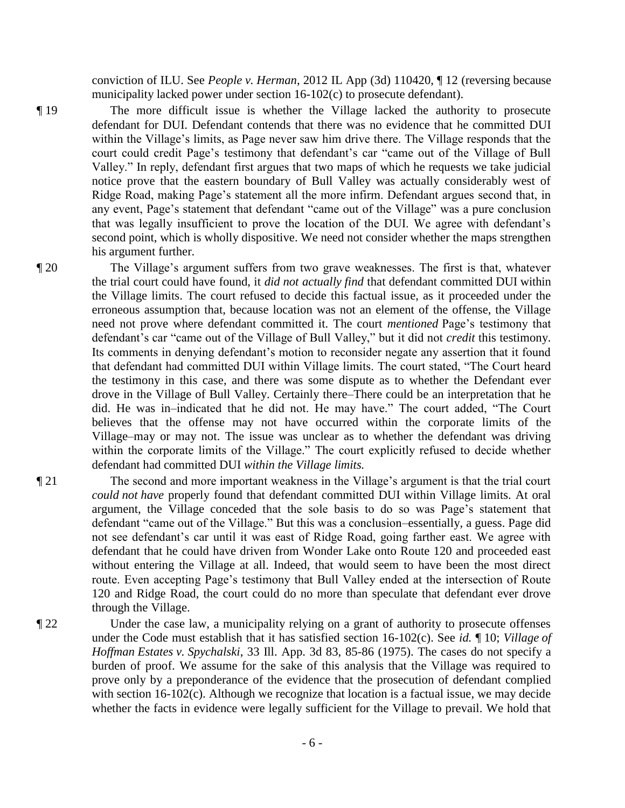conviction of ILU. See *People v. Herman*, 2012 IL App (3d) 110420, ¶ 12 (reversing because municipality lacked power under section 16-102(c) to prosecute defendant).

¶ 19 The more difficult issue is whether the Village lacked the authority to prosecute defendant for DUI. Defendant contends that there was no evidence that he committed DUI within the Village's limits, as Page never saw him drive there. The Village responds that the court could credit Page's testimony that defendant's car "came out of the Village of Bull Valley." In reply, defendant first argues that two maps of which he requests we take judicial notice prove that the eastern boundary of Bull Valley was actually considerably west of Ridge Road, making Page's statement all the more infirm. Defendant argues second that, in any event, Page's statement that defendant "came out of the Village" was a pure conclusion that was legally insufficient to prove the location of the DUI. We agree with defendant's second point, which is wholly dispositive. We need not consider whether the maps strengthen his argument further.

¶ 20 The Village's argument suffers from two grave weaknesses. The first is that, whatever the trial court could have found, it *did not actually find* that defendant committed DUI within the Village limits. The court refused to decide this factual issue, as it proceeded under the erroneous assumption that, because location was not an element of the offense, the Village need not prove where defendant committed it. The court *mentioned* Page's testimony that defendant's car "came out of the Village of Bull Valley," but it did not *credit* this testimony. Its comments in denying defendant's motion to reconsider negate any assertion that it found that defendant had committed DUI within Village limits. The court stated, "The Court heard the testimony in this case, and there was some dispute as to whether the Defendant ever drove in the Village of Bull Valley. Certainly there–There could be an interpretation that he did. He was in–indicated that he did not. He may have." The court added, "The Court believes that the offense may not have occurred within the corporate limits of the Village–may or may not. The issue was unclear as to whether the defendant was driving within the corporate limits of the Village." The court explicitly refused to decide whether defendant had committed DUI *within the Village limits.*

- ¶ 21 The second and more important weakness in the Village's argument is that the trial court *could not have* properly found that defendant committed DUI within Village limits. At oral argument, the Village conceded that the sole basis to do so was Page's statement that defendant "came out of the Village." But this was a conclusion–essentially, a guess. Page did not see defendant's car until it was east of Ridge Road, going farther east. We agree with defendant that he could have driven from Wonder Lake onto Route 120 and proceeded east without entering the Village at all. Indeed, that would seem to have been the most direct route. Even accepting Page's testimony that Bull Valley ended at the intersection of Route 120 and Ridge Road, the court could do no more than speculate that defendant ever drove through the Village.
- ¶ 22 Under the case law, a municipality relying on a grant of authority to prosecute offenses under the Code must establish that it has satisfied section 16-102(c). See *id.* ¶ 10; *Village of Hoffman Estates v. Spychalski*, 33 Ill. App. 3d 83, 85-86 (1975). The cases do not specify a burden of proof. We assume for the sake of this analysis that the Village was required to prove only by a preponderance of the evidence that the prosecution of defendant complied with section 16-102(c). Although we recognize that location is a factual issue, we may decide whether the facts in evidence were legally sufficient for the Village to prevail. We hold that